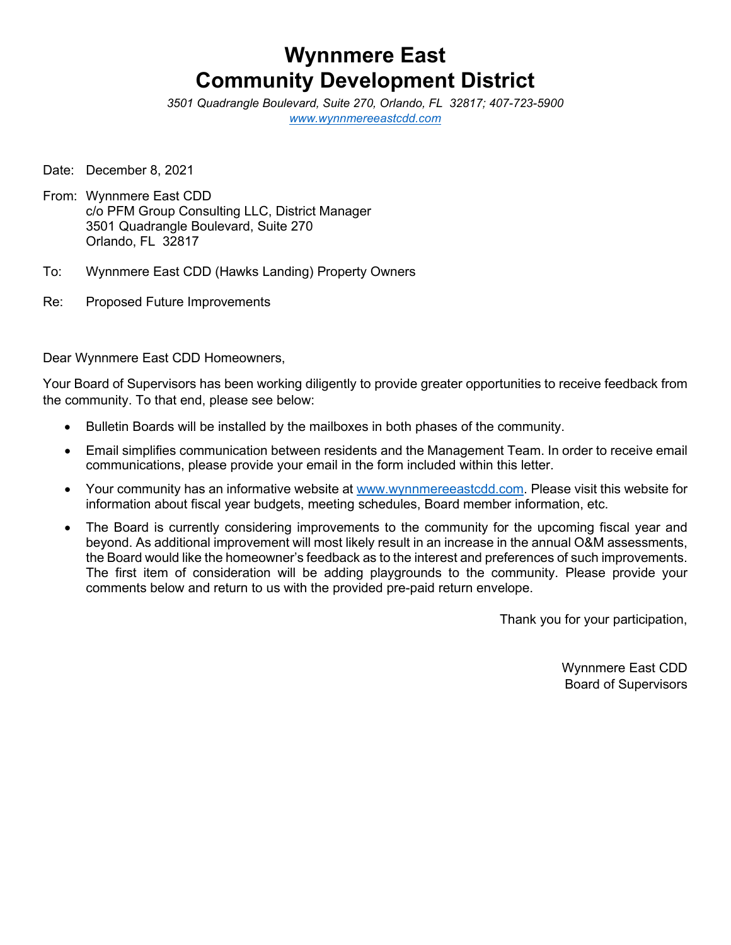## **Wynnmere East Community Development District**

*3501 Quadrangle Boulevard, Suite 270, Orlando, FL 32817; 407-723-5900 [www.wynnmereeastcdd.com](http://www.wynnmereeastcdd.com/)*

Date: December 8, 2021

- From: Wynnmere East CDD c/o PFM Group Consulting LLC, District Manager 3501 Quadrangle Boulevard, Suite 270 Orlando, FL 32817
- To: Wynnmere East CDD (Hawks Landing) Property Owners
- Re: Proposed Future Improvements

Dear Wynnmere East CDD Homeowners,

Your Board of Supervisors has been working diligently to provide greater opportunities to receive feedback from the community. To that end, please see below:

- Bulletin Boards will be installed by the mailboxes in both phases of the community.
- Email simplifies communication between residents and the Management Team. In order to receive email communications, please provide your email in the form included within this letter.
- Your community has an informative website at [www.wynnmereeastcdd.com.](http://www.wynnmereeastcdd.com/) Please visit this website for information about fiscal year budgets, meeting schedules, Board member information, etc.
- The Board is currently considering improvements to the community for the upcoming fiscal year and beyond. As additional improvement will most likely result in an increase in the annual O&M assessments, the Board would like the homeowner's feedback as to the interest and preferences of such improvements. The first item of consideration will be adding playgrounds to the community. Please provide your comments below and return to us with the provided pre-paid return envelope.

Thank you for your participation,

Wynnmere East CDD Board of Supervisors